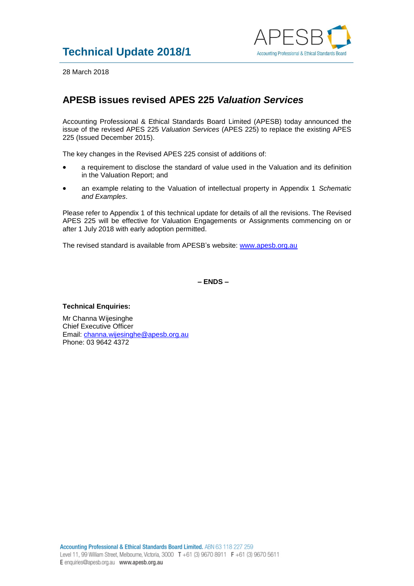

28 March 2018

## **APESB issues revised APES 225** *Valuation Services*

Accounting Professional & Ethical Standards Board Limited (APESB) today announced the issue of the revised APES 225 *Valuation Services* (APES 225) to replace the existing APES 225 (Issued December 2015).

The key changes in the Revised APES 225 consist of additions of:

- a requirement to disclose the standard of value used in the Valuation and its definition in the Valuation Report; and
- an example relating to the Valuation of intellectual property in Appendix 1 *Schematic and Examples*.

Please refer to Appendix 1 of this technical update for details of all the revisions. The Revised APES 225 will be effective for Valuation Engagements or Assignments commencing on or after 1 July 2018 with early adoption permitted.

The revised standard is available from APESB's website: [www.apesb.org.au](http://www.apesb.org.au/)

**– ENDS –**

## **Technical Enquiries:**

Mr Channa Wijesinghe Chief Executive Officer Email: [channa.wijesinghe@apesb.org.au](mailto:channa.wijesinghe@apesb.org.au) Phone: 03 9642 4372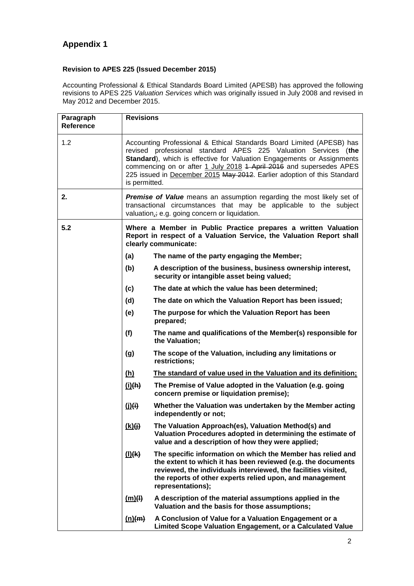## **Appendix 1**

## **Revision to APES 225 (Issued December 2015)**

Accounting Professional & Ethical Standards Board Limited (APESB) has approved the following revisions to APES 225 *Valuation Services* which was originally issued in July 2008 and revised in May 2012 and December 2015.

| Paragraph<br><b>Reference</b> | <b>Revisions</b>                                                                                                                                                                                                                                                                                                                                                                     |                                                                                                                                                                                                                                                                                |  |
|-------------------------------|--------------------------------------------------------------------------------------------------------------------------------------------------------------------------------------------------------------------------------------------------------------------------------------------------------------------------------------------------------------------------------------|--------------------------------------------------------------------------------------------------------------------------------------------------------------------------------------------------------------------------------------------------------------------------------|--|
| 1.2                           | Accounting Professional & Ethical Standards Board Limited (APESB) has<br>revised professional standard APES 225 Valuation Services (the<br>Standard), which is effective for Valuation Engagements or Assignments<br>commencing on or after 1 July 2018 1 April 2016 and supersedes APES<br>225 issued in December 2015 May 2012. Earlier adoption of this Standard<br>is permitted. |                                                                                                                                                                                                                                                                                |  |
| 2.                            | <b>Premise of Value</b> means an assumption regarding the most likely set of<br>transactional circumstances that may be applicable to the subject<br>valuation <sub>i</sub> ; e.g. going concern or liquidation.                                                                                                                                                                     |                                                                                                                                                                                                                                                                                |  |
| 5.2                           | Where a Member in Public Practice prepares a written Valuation<br>Report in respect of a Valuation Service, the Valuation Report shall<br>clearly communicate:                                                                                                                                                                                                                       |                                                                                                                                                                                                                                                                                |  |
|                               | (a)                                                                                                                                                                                                                                                                                                                                                                                  | The name of the party engaging the Member;                                                                                                                                                                                                                                     |  |
|                               | (b)                                                                                                                                                                                                                                                                                                                                                                                  | A description of the business, business ownership interest,<br>security or intangible asset being valued;                                                                                                                                                                      |  |
|                               | (c)                                                                                                                                                                                                                                                                                                                                                                                  | The date at which the value has been determined;                                                                                                                                                                                                                               |  |
|                               | (d)                                                                                                                                                                                                                                                                                                                                                                                  | The date on which the Valuation Report has been issued;                                                                                                                                                                                                                        |  |
|                               | (e)                                                                                                                                                                                                                                                                                                                                                                                  | The purpose for which the Valuation Report has been<br>prepared;                                                                                                                                                                                                               |  |
|                               | (f)                                                                                                                                                                                                                                                                                                                                                                                  | The name and qualifications of the Member(s) responsible for<br>the Valuation;                                                                                                                                                                                                 |  |
|                               | (g)                                                                                                                                                                                                                                                                                                                                                                                  | The scope of the Valuation, including any limitations or<br>restrictions;                                                                                                                                                                                                      |  |
|                               | (h)                                                                                                                                                                                                                                                                                                                                                                                  | The standard of value used in the Valuation and its definition;                                                                                                                                                                                                                |  |
|                               | (i)(h)                                                                                                                                                                                                                                                                                                                                                                               | The Premise of Value adopted in the Valuation (e.g. going<br>concern premise or liquidation premise);                                                                                                                                                                          |  |
|                               | (i)(i)                                                                                                                                                                                                                                                                                                                                                                               | Whether the Valuation was undertaken by the Member acting<br>independently or not;                                                                                                                                                                                             |  |
|                               | (k)(j)                                                                                                                                                                                                                                                                                                                                                                               | The Valuation Approach(es), Valuation Method(s) and<br>Valuation Procedures adopted in determining the estimate of<br>value and a description of how they were applied;                                                                                                        |  |
|                               | (1)(k)                                                                                                                                                                                                                                                                                                                                                                               | The specific information on which the Member has relied and<br>the extent to which it has been reviewed (e.g. the documents<br>reviewed, the individuals interviewed, the facilities visited,<br>the reports of other experts relied upon, and management<br>representations); |  |
|                               | $\mathbf{m}(\mathbf{H})$                                                                                                                                                                                                                                                                                                                                                             | A description of the material assumptions applied in the<br>Valuation and the basis for those assumptions;                                                                                                                                                                     |  |
|                               | (n)(m)                                                                                                                                                                                                                                                                                                                                                                               | A Conclusion of Value for a Valuation Engagement or a<br>Limited Scope Valuation Engagement, or a Calculated Value                                                                                                                                                             |  |